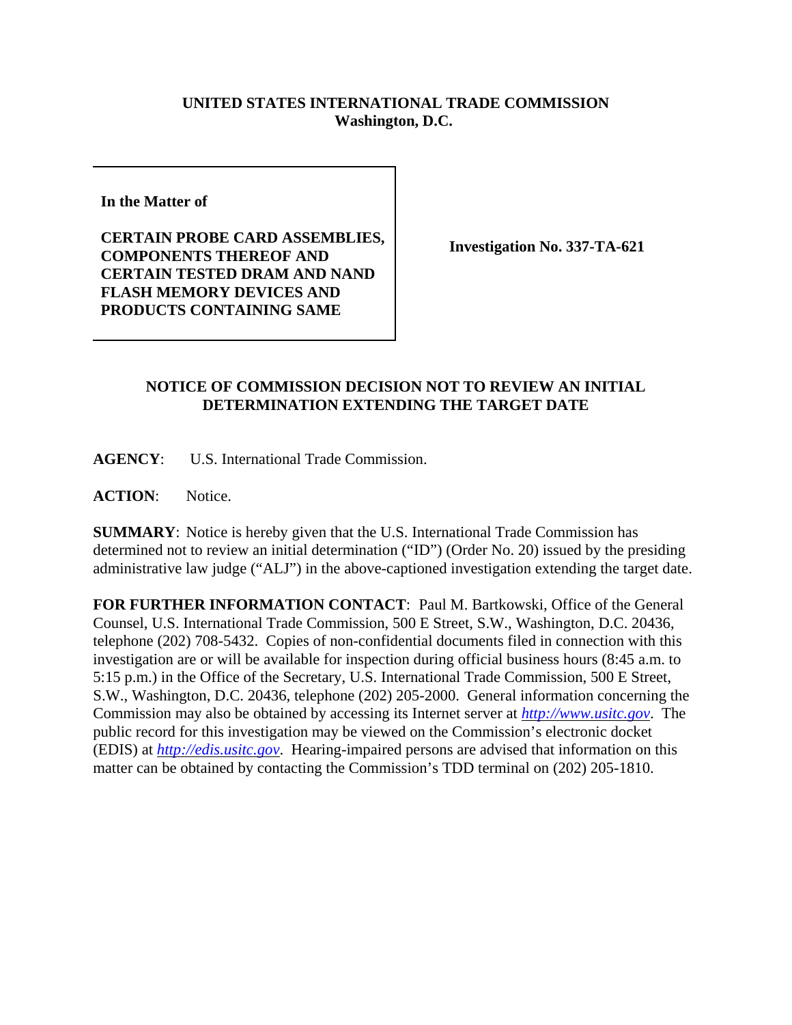## **UNITED STATES INTERNATIONAL TRADE COMMISSION Washington, D.C.**

**In the Matter of** 

**CERTAIN PROBE CARD ASSEMBLIES, COMPONENTS THEREOF AND CERTAIN TESTED DRAM AND NAND FLASH MEMORY DEVICES AND PRODUCTS CONTAINING SAME**

**Investigation No. 337-TA-621**

## **NOTICE OF COMMISSION DECISION NOT TO REVIEW AN INITIAL DETERMINATION EXTENDING THE TARGET DATE**

**AGENCY**: U.S. International Trade Commission.

**ACTION**: Notice.

**SUMMARY**: Notice is hereby given that the U.S. International Trade Commission has determined not to review an initial determination ("ID") (Order No. 20) issued by the presiding administrative law judge ("ALJ") in the above-captioned investigation extending the target date.

**FOR FURTHER INFORMATION CONTACT**: Paul M. Bartkowski, Office of the General Counsel, U.S. International Trade Commission, 500 E Street, S.W., Washington, D.C. 20436, telephone (202) 708-5432. Copies of non-confidential documents filed in connection with this investigation are or will be available for inspection during official business hours (8:45 a.m. to 5:15 p.m.) in the Office of the Secretary, U.S. International Trade Commission, 500 E Street, S.W., Washington, D.C. 20436, telephone (202) 205-2000. General information concerning the Commission may also be obtained by accessing its Internet server at *http://www.usitc.gov*. The public record for this investigation may be viewed on the Commission's electronic docket (EDIS) at *http://edis.usitc.gov*. Hearing-impaired persons are advised that information on this matter can be obtained by contacting the Commission's TDD terminal on (202) 205-1810.